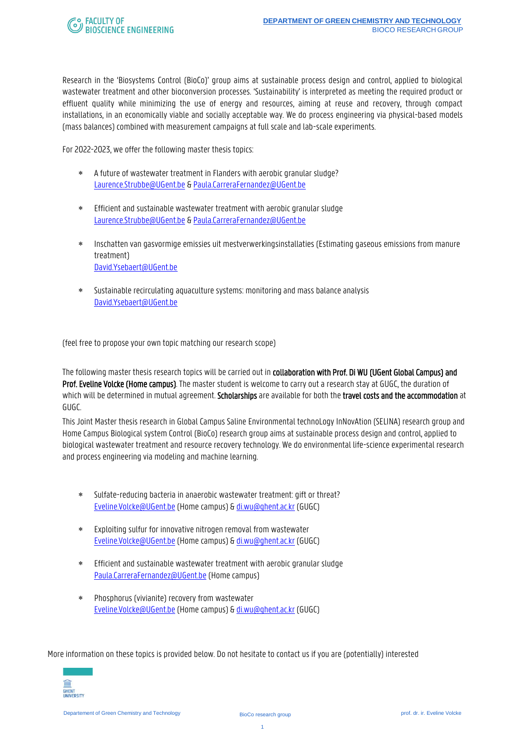Research in the 'Biosystems Control (BioCo)' group aims at sustainable process design and control, applied to biological wastewater treatment and other bioconversion processes. 'Sustainability' is interpreted as meeting the required product or effluent quality while minimizing the use of energy and resources, aiming at reuse and recovery, through compact installations, in an economically viable and socially acceptable way. We do process engineering via physical-based models (mass balances) combined with measurement campaigns at full scale and lab-scale experiments.

For 2022-2023, we offer the following master thesis topics:

- A future of wastewater treatment in Flanders with aerobic granular sludge? [Laurence.Strubbe@UGent.be](mailto:Laurence.Strubbe@UGent.be) [& Paula.CarreraFernandez@UGent.be](mailto:Paula.CarreraFernandez@UGent.be)
- Efficient and sustainable wastewater treatment with aerobic granular sludge [Laurence.Strubbe@UGent.be](mailto:Laurence.Strubbe@UGent.be) [& Paula.CarreraFernandez@UGent.be](mailto:Paula.CarreraFernandez@UGent.be)
- Inschatten van gasvormige emissies uit mestverwerkingsinstallaties (Estimating gaseous emissions from manure treatment) [David.Ysebaert@UGent.be](mailto:David.Ysebaert@UGent.be)
- Sustainable recirculating aquaculture systems: monitoring and mass balance analysis [David.Ysebaert@UGent.be](mailto:David.Ysebaert@UGent.be)

(feel free to propose your own topic matching our research scope)

The following master thesis research topics will be carried out in collaboration with Prof. Di WU (UGent Global Campus) and Prof. Eveline Volcke (Home campus). The master student is welcome to carry out a research stay at GUGC, the duration of which will be determined in mutual agreement. Scholarships are available for both the travel costs and the accommodation at GUGC.

This Joint Master thesis research in Global Campus Saline Environmental technoLogy InNovAtion (SELINA) research group and Home Campus Biological system Control (BioCo) research group aimsat sustainable process design and control, applied to biological wastewater treatment and resource recovery technology. We do environmental life-science experimental research and process engineering via modeling and machine learning.

- Sulfate-reducing bacteria in anaerobic wastewater treatment: gift or threat? [Eveline.Volcke@UGent.be\(](mailto:Eveline.Volcke@UGent.be)Home campus) [& di.wu@ghent.ac.kr](mailto:di.wu@ghent.ac.kr) (GUGC)
- Exploiting sulfur for innovative nitrogen removal from wastewater [Eveline.Volcke@UGent.be\(](mailto:Eveline.Volcke@UGent.be)Home campus) [& di.wu@ghent.ac.kr](mailto:di.wu@ghent.ac.kr) (GUGC)
- Efficient and sustainable wastewater treatment with aerobic granular sludge [Paula.CarreraFernandez@UGent.be](mailto:Paula.CarreraFernandez@UGent.be) (Home campus)
- Phosphorus (vivianite) recovery from wastewater [Eveline.Volcke@UGent.be\(](mailto:Eveline.Volcke@UGent.be)Home campus) [& di.wu@ghent.ac.kr](mailto:di.wu@ghent.ac.kr) (GUGC)

More information on these topics is provided below. Do not hesitate to contact us if you are (potentially) interested

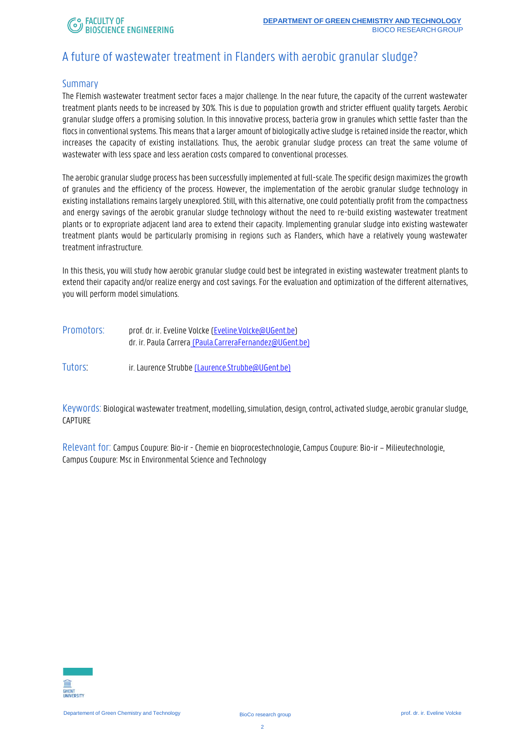### A future of wastewater treatment in Flanders with aerobic granular sludge?

#### **Summary**

The Flemish wastewater treatment sector faces a major challenge. In the near future, the capacity of the current wastewater treatment plants needs to be increased by 30%. This is due to population growth and stricter effluent quality targets. Aerobic granular sludge offers a promising solution. In this innovative process, bacteria grow in granules which settle faster than the flocs in conventional systems. This means that a larger amount of biologically active sludge is retained inside the reactor, which increases the capacity of existing installations. Thus, the aerobic granular sludge process can treat the same volume of wastewater with less space and less aeration costs compared to conventional processes.

The aerobic granular sludge process has been successfully implemented at full-scale. The specific design maximizes the growth of granules and the efficiency of the process. However, the implementation of the aerobic granular sludge technology in existing installations remains largely unexplored. Still, with this alternative, one could potentially profit from the compactness and energy savings of the aerobic granular sludge technology without the need to re-build existing wastewater treatment plants or to expropriate adjacent land area to extend their capacity. Implementing granular sludge into existing wastewater treatment plants would be particularly promising in regions such as Flanders, which have a relatively young wastewater treatment infrastructure.

In this thesis, you will study how aerobic granular sludge could best be integrated in existing wastewater treatment plants to extend their capacity and/or realize energy and cost savings. For the evaluation and optimization of the different alternatives, you will perform model simulations.

| Promotors: | prof. dr. ir. Eveline Volcke (Eveline.Volcke@UGent.be)  |
|------------|---------------------------------------------------------|
|            | dr. ir. Paula Carrera (Paula.CarreraFernandez@UGent.be) |
|            |                                                         |

Tutors: ir. Laurence Strubb[e \(Laurence.Strubbe@UGent.be\)](mailto:(Laurence.Strubbe@UGent.be))

Keywords: Biological wastewater treatment, modelling, simulation, design, control, activated sludge, aerobic granular sludge, CAPTURE

Relevant for: Campus Coupure: Bio-ir -Chemie en bioprocestechnologie, Campus Coupure: Bio-ir – Milieutechnologie, Campus Coupure: Msc in Environmental Science and Technology

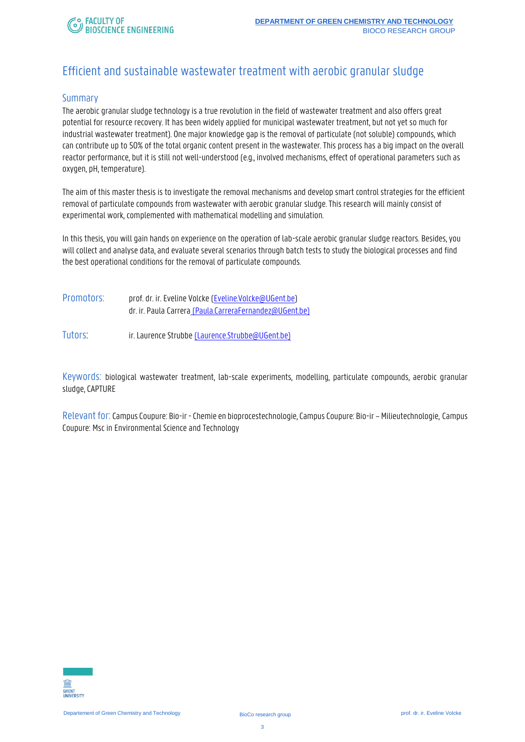# Efficient and sustainable wastewater treatment with aerobic granular sludge

#### Summary

The aerobic granular sludge technology is a true revolution in the field of wastewater treatment and also offers great potential for resource recovery. It has been widely applied for municipal wastewater treatment, but not yet so much for industrial wastewater treatment). One major knowledge gap is the removal of particulate (not soluble) compounds, which can contribute up to 50% of the total organic content present in the wastewater. This process has a big impact on the overall reactor performance, but it is still not well-understood (e.g., involved mechanisms, effect of operational parameters such as oxygen, pH, temperature).

The aim of this master thesis is to investigate the removal mechanisms and develop smart control strategies for the efficient removal of particulate compounds from wastewater with aerobic granular sludge. This research will mainly consist of experimental work, complemented with mathematical modelling and simulation.

In this thesis, you will gain hands on experience on the operation of lab-scale aerobic granular sludge reactors. Besides, you will collect and analyse data, and evaluate several scenarios through batch tests to study the biological processes and find the best operational conditions for the removal of particulate compounds.

- Promotors: prof. dr. ir. Eveline Volcke [\(Eveline.Volcke@UGent.be\)](mailto:Eveline.Volcke@UGent.be) dr. ir. Paula Carrera [\(Paula.CarreraFernandez@UGent.be\)](mailto:(Paula.CarreraFernandez@UGent.be))
- Tutors: ir. Laurence Strubb[e \(Laurence.Strubbe@UGent.be\)](mailto:(Laurence.Strubbe@UGent.be))

Keywords: biological wastewater treatment, lab-scale experiments, modelling, particulate compounds, aerobic granular sludge, CAPTURE

Relevant for: Campus Coupure: Bio-ir -Chemie en bioprocestechnologie, Campus Coupure: Bio-ir –Milieutechnologie, Campus Coupure: Msc in Environmental Science and Technology

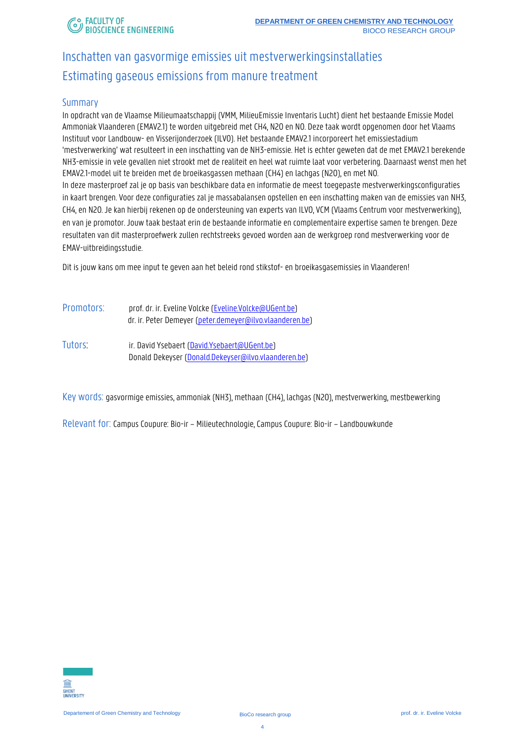# Inschatten van gasvormige emissies uit mestverwerkingsinstallaties Estimating gaseous emissions from manure treatment

### Summary

In opdracht van de Vlaamse Milieumaatschappij (VMM, MilieuEmissie Inventaris Lucht) dient het bestaande Emissie Model Ammoniak Vlaanderen (EMAV2.1) te worden uitgebreid met CH4, N2O en NO. Deze taak wordt opgenomen door het Vlaams Instituut voor Landbouw- en Visserijonderzoek (ILVO). Het bestaande EMAV2.1 incorporeert het emissiestadium 'mestverwerking' wat resulteert in een inschatting van de NH3-emissie. Het is echter geweten dat de met EMAV2.1 berekende NH3-emissie in vele gevallen niet strookt met de realiteit en heel wat ruimte laat voor verbetering. Daarnaast wenst men het EMAV2.1-model uit te breiden met de broeikasgassen methaan (CH4) en lachgas (N2O), en met NO. In deze masterproef zal je op basis van beschikbare data en informatie de meest toegepaste mestverwerkingsconfiguraties in kaart brengen. Voor deze configuraties zal je massabalansen opstellen en een inschatting maken van de emissies van NH3, CH4, en N2O. Je kan hierbij rekenen op de ondersteuning van experts van ILVO, VCM (Vlaams Centrum voor mestverwerking), en van je promotor. Jouw taak bestaat erin de bestaande informatie en complementaire expertise samen te brengen. Deze resultaten van dit masterproefwerk zullen rechtstreeks gevoed worden aan de werkgroep rond mestverwerking voor de EMAV-uitbreidingsstudie.

Dit is jouw kans om mee input te geven aan het beleid rond stikstof- en broeikasgasemissies in Vlaanderen!

Promotors: prof. dr. ir. Eveline Volcke [\(Eveline.Volcke@UGent.be\)](mailto:Eveline.Volcke@UGent.be) dr. ir. Peter Demeyer [\(peter.demeyer@ilvo.vlaanderen.be\)](mailto:peter.demeyer@ilvo.vlaanderen.be) Tutors: ir. David Ysebaert [\(David.Ysebaert@UGent.be\)](mailto:David.Ysebaert@UGent.be) Donald Dekeyser [\(Donald.Dekeyser@ilvo.vlaanderen.be\)](mailto:Donald.Dekeyser@ilvo.vlaanderen.be)

Key words: gasvormige emissies, ammoniak (NH3), methaan (CH4), lachgas (N2O), mestverwerking, mestbewerking

Relevant for: Campus Coupure: Bio-ir – Milieutechnologie, Campus Coupure: Bio-ir – Landbouwkunde

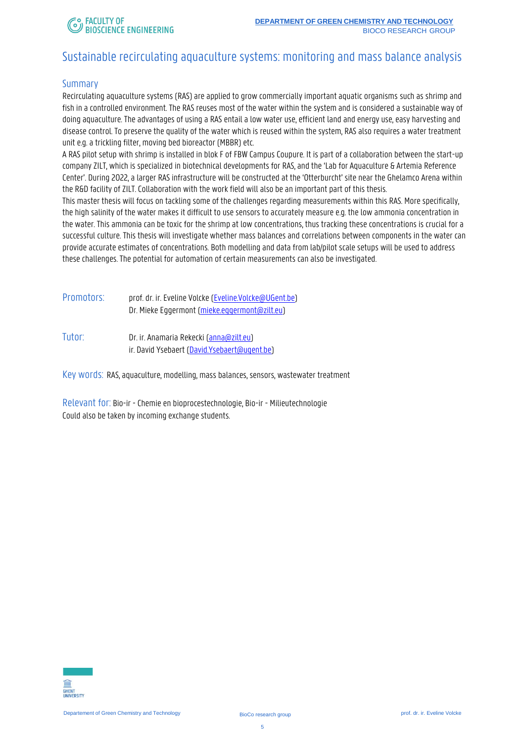### Sustainable recirculating aquaculture systems: monitoring and mass balance analysis

#### **Summary**

Recirculating aquaculture systems (RAS) are applied to grow commercially important aquatic organisms such as shrimp and fish in a controlled environment. The RAS reuses most of the water within the system and is considered a sustainable way of doing aquaculture. The advantages of using a RAS entail a low water use, efficient land and energy use, easy harvesting and disease control. To preserve the quality of the water which is reused within the system, RAS also requires a water treatment unit e.g. a trickling filter, moving bed bioreactor (MBBR) etc.

A RAS pilot setup with shrimp is installed in blok F of FBW Campus Coupure. It is part of a collaboration between the start-up company ZILT, which is specialized in biotechnical developments for RAS, and the 'Lab for Aquaculture & Artemia Reference Center'. During 2022, a larger RAS infrastructure will be constructed at the 'Otterburcht' site near the Ghelamco Arena within the R&D facility of ZILT. Collaboration with the work field will also be an important part of this thesis.

This master thesis will focus on tackling some of the challenges regarding measurements within this RAS. More specifically, the high salinity of the water makes it difficult to use sensors to accurately measure e.g. the low ammonia concentration in the water. This ammonia can be toxic for the shrimp at low concentrations, thus tracking these concentrations is crucial for a successful culture. This thesis will investigate whether mass balances and correlations between components in the water can provide accurate estimates of concentrations. Both modelling and data from lab/pilot scale setups will be used to address these challenges. The potential for automation of certain measurements can also be investigated.

| Promotors: | prof. dr. ir. Eveline Volcke (Eveline.Volcke@UGent.be) |
|------------|--------------------------------------------------------|
|            | Dr. Mieke Eggermont (mieke.eggermont@zilt.eu)          |

Tutor: Dr. ir. Anamaria Rekecki [\(anna@zilt.eu\)](mailto:anna@zilt.eu) ir. David Ysebaert [\(David.Ysebaert@ugent.be\)](mailto:David.Ysebaert@ugent.be)

Key words: RAS, aquaculture, modelling, mass balances, sensors, wastewater treatment

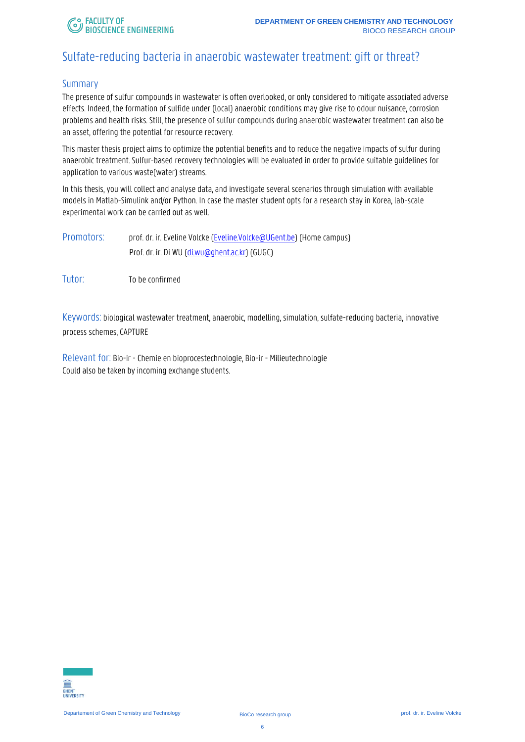### Sulfate-reducing bacteria in anaerobic wastewater treatment: gift or threat?

### Summary

The presence of sulfur compounds in wastewater is often overlooked, or only considered to mitigate associated adverse effects. Indeed, the formation of sulfide under (local) anaerobic conditions may give rise to odour nuisance, corrosion problems and health risks. Still, the presence of sulfur compounds during anaerobic wastewater treatment can also be an asset, offering the potential for resource recovery.

This master thesis project aims to optimize the potential benefits and to reduce the negative impacts of sulfur during anaerobic treatment. Sulfur-based recovery technologies will beevaluated in order to provide suitable guidelines for application to various waste(water) streams.

In this thesis, you will collect and analyse data, and investigate several scenarios through simulation with available models in Matlab-Simulink and/or Python. In case the master student opts for a research stay in Korea, lab-scale experimental work can be carried out as well.

- Promotors: prof. dr. ir. Eveline Volcke [\(Eveline.Volcke@UGent.be\)](mailto:Eveline.Volcke@UGent.be) (Home campus) Prof. dr. ir. Di WU [\(di.wu@ghent.ac.kr\)](mailto:di.wu@ghent.ac.kr) (GUGC)
- Tutor: To be confirmed

Keywords: biological wastewater treatment, anaerobic, modelling, simulation, sulfate-reducing bacteria, innovative process schemes, CAPTURE

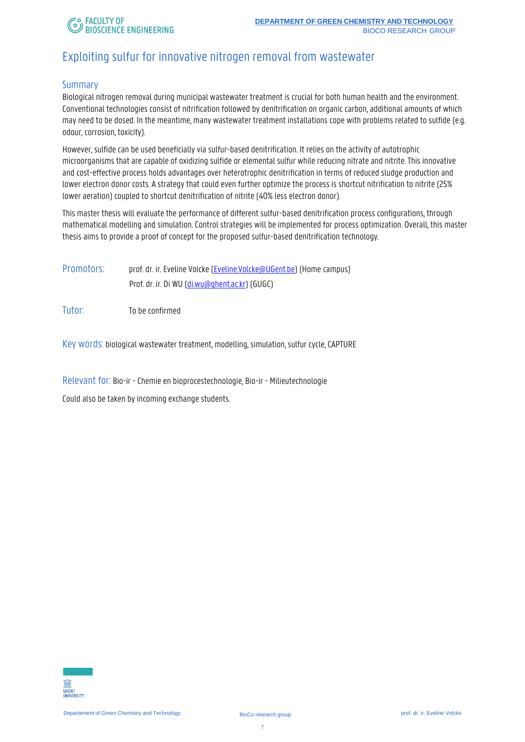# Exploiting sulfur for innovative nitrogen removal from wastewater

#### Summary

Biological nitrogen removal during municipal wastewater treatment is crucial for both human health and the environment. Conventional technologies consist of nitrification followed by denitrification on organic carbon, additional amounts of which may need to be dosed. In the meantime, many wastewater treatment installations cope with problems related to sulfide (e.g. odour, corrosion, toxicity).

However, sulfide can be used beneficially via sulfur-based denitrification. It relies on the activity of autotrophic microorganisms that are capable of oxidizing sulfide or elemental sulfur while reducing nitrate and nitrite. This innovative and cost-effective process holds advantages over heterotrophic denitrification in terms of reduced sludge production and lower electron donor costs. A strategy that could even further optimize the process is shortcut nitrification to nitrite (25% lower aeration) coupled to shortcut denitrification of nitrite (40% less electron donor).

This master thesis will evaluate the performance of different sulfur-based denitrification process configurations, through mathematical modelling and simulation. Control strategies will be implemented for process optimization. Overall, this master thesis aims to provide a proof of concept for the proposed sulfur-based denitrification technology.

Promotors: prof. dr. ir. Eveline Volcke [\(Eveline.Volcke@UGent.be\)](mailto:Eveline.Volcke@UGent.be) (Home campus) Prof. dr. ir. Di WU [\(di.wu@ghent.ac.kr\)](mailto:di.wu@ghent.ac.kr) (GUGC)

Tutor: To be confirmed

Key words: biological wastewater treatment, modelling, simulation, sulfur cycle, CAPTURE

Relevant for: Bio-ir - Chemie en bioprocestechnologie, Bio-ir - Milieutechnologie

Could also be taken by incoming exchange students.

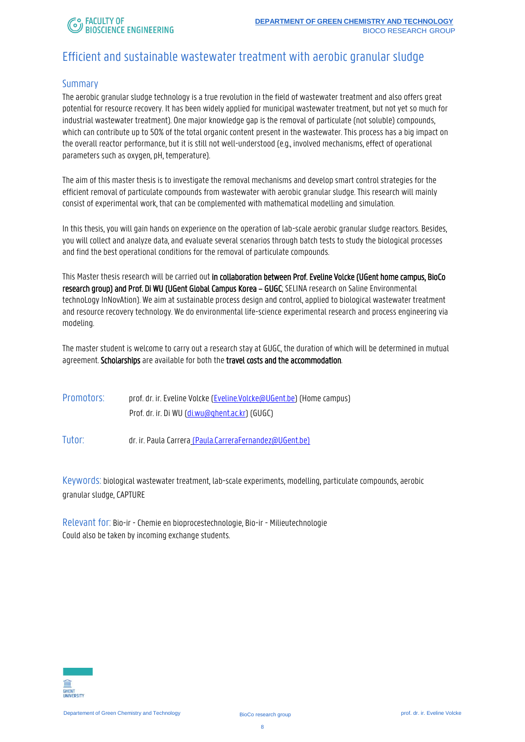### Efficient and sustainable wastewater treatment with aerobic granular sludge

### Summary

The aerobic granular sludge technology is a true revolution in the field of wastewater treatment and also offers great potential for resource recovery. It has been widely applied for municipal wastewater treatment, but not yet so much for industrial wastewater treatment). One major knowledge gap is the removal of particulate (not soluble) compounds, which can contribute up to 50% of the total organic content present in the wastewater. This process has a big impact on the overall reactor performance, but it is still not well-understood (e.g., involved mechanisms, effect of operational parameters such as oxygen, pH, temperature).

The aim of this master thesis is to investigate the removal mechanismsand develop smart control strategies for the efficient removal of particulate compounds from wastewater with aerobic granular sludge. This research will mainly consist of experimental work, that can be complemented with mathematical modelling and simulation.

In this thesis, you will gain hands on experience on the operation of lab-scale aerobic granular sludge reactors. Besides, you will collect and analyze data, and evaluate several scenarios through batch tests to study the biological processes and find the best operational conditions for the removal of particulate compounds.

This Master thesis research will be carried out in collaboration between Prof. Eveline Volcke (UGent home campus, BioCo research group) and Prof. Di WU (UGent Global Campus Korea – GUGC; SELINA research on Saline Environmental technoLogy InNovAtion). We aim at sustainable process design and control, applied to biological wastewater treatment and resource recovery technology. We do environmental life-science experimental research and process engineering via modeling.

The master student is welcome to carry out a research stay at GUGC, the duration of which will be determined in mutual agreement. Scholarships are available for both the travel costs and the accommodation.

| Promotors: | prof. dr. ir. Eveline Volcke (Eveline.Volcke@UGent.be) (Home campus) |
|------------|----------------------------------------------------------------------|
|            | Prof. dr. ir. Di WU (di.wu@ghent.ac.kr) (GUGC)                       |

Tutor: dr. ir. Paula Carrera [\(Paula.CarreraFernandez@UGent.be\)](mailto:(Paula.CarreraFernandez@UGent.be))

Keywords: biological wastewater treatment, lab-scale experiments, modelling, particulate compounds, aerobic granular sludge, CAPTURE